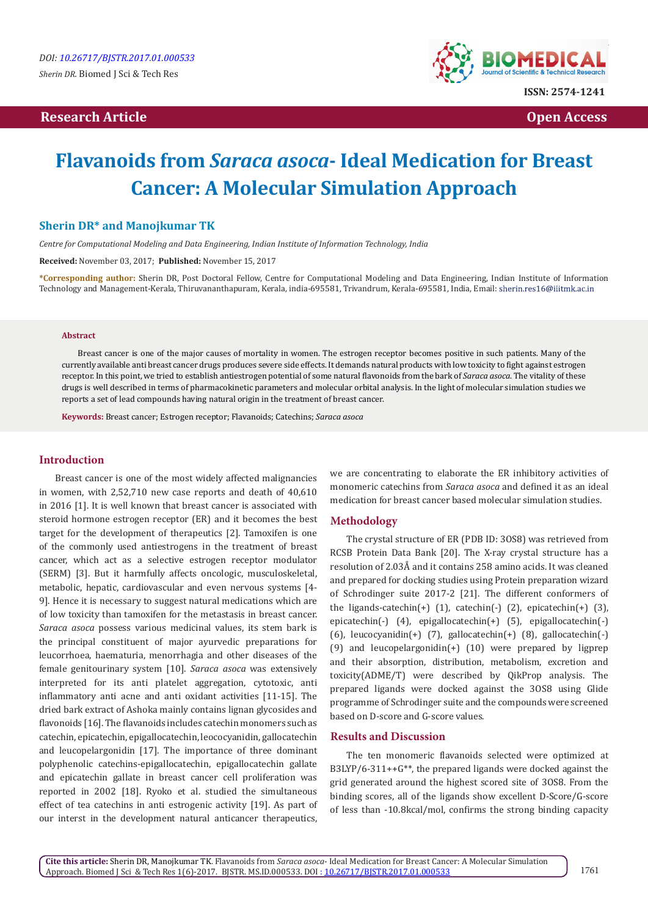# **Research Article Open Access Contract Article Open Access Open Access**



# **Flavanoids from** *Saraca asoca***- Ideal Medication for Breast Cancer: A Molecular Simulation Approach**

#### **Sherin DR\* and Manojkumar TK**

*Centre for Computational Modeling and Data Engineering, Indian Institute of Information Technology, India* 

**Received:** November 03, 2017; **Published:** November 15, 2017

**\*Corresponding author:** Sherin DR, Post Doctoral Fellow, Centre for Computational Modeling and Data Engineering, Indian Institute of Information Technology and Management-Kerala, Thiruvananthapuram, Kerala, india-695581, Trivandrum, Kerala-695581, India, Email:

#### **Abstract**

Breast cancer is one of the major causes of mortality in women. The estrogen receptor becomes positive in such patients. Many of the currently available anti breast cancer drugs produces severe side effects. It demands natural products with low toxicity to fight against estrogen receptor. In this point, we tried to establish antiestrogen potential of some natural flavonoids from the bark of *Saraca asoca*. The vitality of these drugs is well described in terms of pharmacokinetic parameters and molecular orbital analysis. In the light of molecular simulation studies we reports a set of lead compounds having natural origin in the treatment of breast cancer.

**Keywords:** Breast cancer; Estrogen receptor; Flavanoids; Catechins; *Saraca asoca*

#### **Introduction**

Breast cancer is one of the most widely affected malignancies in women, with 2,52,710 new case reports and death of 40,610 in 2016 [1]. It is well known that breast cancer is associated with steroid hormone estrogen receptor (ER) and it becomes the best target for the development of therapeutics [2]. Tamoxifen is one of the commonly used antiestrogens in the treatment of breast cancer, which act as a selective estrogen receptor modulator (SERM) [3]. But it harmfully affects oncologic, musculoskeletal, metabolic, hepatic, cardiovascular and even nervous systems [4- 9]. Hence it is necessary to suggest natural medications which are of low toxicity than tamoxifen for the metastasis in breast cancer. *Saraca asoca* possess various medicinal values, its stem bark is the principal constituent of major ayurvedic preparations for leucorrhoea, haematuria, menorrhagia and other diseases of the female genitourinary system [10]. *Saraca asoca* was extensively interpreted for its anti platelet aggregation, cytotoxic, anti inflammatory anti acne and anti oxidant activities [11-15]. The dried bark extract of Ashoka mainly contains lignan glycosides and flavonoids [16]. The flavanoids includes catechin monomers such as catechin, epicatechin, epigallocatechin, leococyanidin, gallocatechin and leucopelargonidin [17]. The importance of three dominant polyphenolic catechins-epigallocatechin, epigallocatechin gallate and epicatechin gallate in breast cancer cell proliferation was reported in 2002 [18]. Ryoko et al. studied the simultaneous effect of tea catechins in anti estrogenic activity [19]. As part of our interst in the development natural anticancer therapeutics,

we are concentrating to elaborate the ER inhibitory activities of monomeric catechins from *Saraca asoca* and defined it as an ideal medication for breast cancer based molecular simulation studies.

#### **Methodology**

The crystal structure of ER (PDB ID: 3OS8) was retrieved from RCSB Protein Data Bank [20]. The X-ray crystal structure has a resolution of 2.03Å and it contains 258 amino acids. It was cleaned and prepared for docking studies using Protein preparation wizard of Schrodinger suite 2017-2 [21]. The different conformers of the ligands-catechin(+)  $(1)$ , catechin(-)  $(2)$ , epicatechin(+)  $(3)$ , epicatechin(-) (4), epigallocatechin(+) (5), epigallocatechin(-) (6), leucocyanidin(+) (7), gallocatechin(+) (8), gallocatechin(-) (9) and leucopelargonidin(+) (10) were prepared by ligprep and their absorption, distribution, metabolism, excretion and toxicity(ADME/T) were described by QikProp analysis. The prepared ligands were docked against the 3OS8 using Glide programme of Schrodinger suite and the compounds were screened based on D-score and G-score values.

#### **Results and Discussion**

The ten monomeric flavanoids selected were optimized at B3LYP/6-311++G\*\*, the prepared ligands were docked against the grid generated around the highest scored site of 3OS8. From the binding scores, all of the ligands show excellent D-Score/G-score of less than -10.8kcal/mol, confirms the strong binding capacity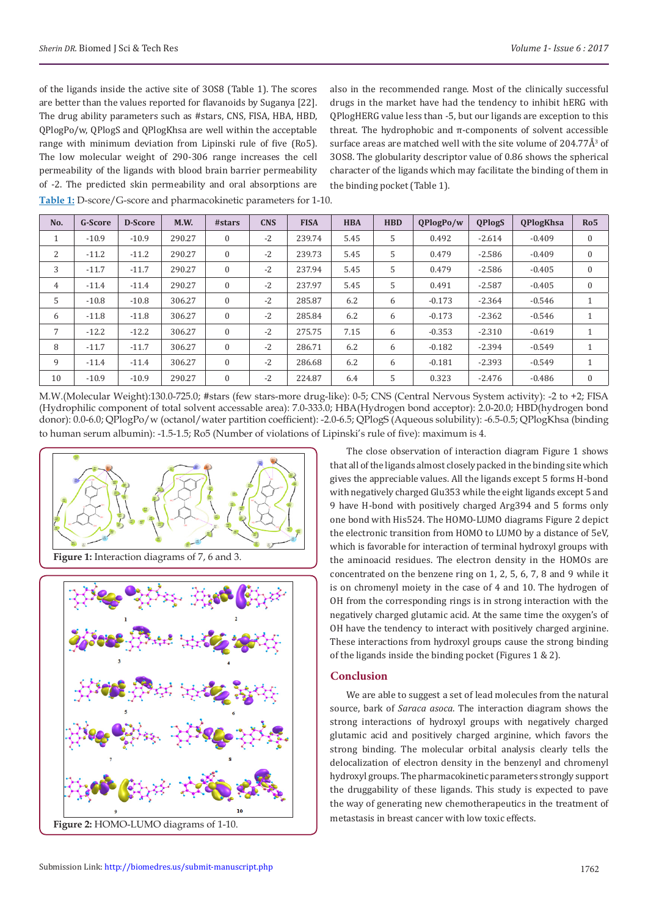of the ligands inside the active site of 3OS8 (Table 1). The scores are better than the values reported for flavanoids by Suganya [22]. The drug ability parameters such as #stars, CNS, FISA, HBA, HBD, QPlogPo/w, QPlogS and QPlogKhsa are well within the acceptable range with minimum deviation from Lipinski rule of five (Ro5). The low molecular weight of 290-306 range increases the cell permeability of the ligands with blood brain barrier permeability of -2. The predicted skin permeability and oral absorptions are **Table 1:** D-score/G-score and pharmacokinetic parameters for 1-10.

also in the recommended range. Most of the clinically successful drugs in the market have had the tendency to inhibit hERG with QPlogHERG value less than -5, but our ligands are exception to this threat. The hydrophobic and π-components of solvent accessible surface areas are matched well with the site volume of  $204.77A<sup>3</sup>$  of 3OS8. The globularity descriptor value of 0.86 shows the spherical character of the ligands which may facilitate the binding of them in the binding pocket (Table 1).

| No. | <b>G-Score</b> | <b>D-Score</b> | M.W.   | #stars       | <b>CNS</b> | <b>FISA</b> | <b>HBA</b> | <b>HBD</b> | QPlogPo/w | <b>QPlogS</b> | <b>OPlogKhsa</b> | Ro <sub>5</sub> |
|-----|----------------|----------------|--------|--------------|------------|-------------|------------|------------|-----------|---------------|------------------|-----------------|
| л.  | $-10.9$        | $-10.9$        | 290.27 | $\Omega$     | $-2$       | 239.74      | 5.45       | 5          | 0.492     | $-2.614$      | $-0.409$         | $\mathbf{0}$    |
| 2   | $-11.2$        | $-11.2$        | 290.27 | $\Omega$     | $-2$       | 239.73      | 5.45       | 5          | 0.479     | $-2.586$      | $-0.409$         | $\mathbf{0}$    |
| 3   | $-11.7$        | $-11.7$        | 290.27 | $\mathbf{0}$ | $-2$       | 237.94      | 5.45       | 5          | 0.479     | $-2.586$      | $-0.405$         | $\mathbf{0}$    |
| 4   | $-11.4$        | $-11.4$        | 290.27 | $\Omega$     | $-2$       | 237.97      | 5.45       | 5          | 0.491     | $-2.587$      | $-0.405$         | $\mathbf{0}$    |
| 5   | $-10.8$        | $-10.8$        | 306.27 | $\Omega$     | $-2$       | 285.87      | 6.2        | 6          | $-0.173$  | $-2.364$      | $-0.546$         | $\mathbf{1}$    |
| 6   | $-11.8$        | $-11.8$        | 306.27 | $\mathbf{0}$ | $-2$       | 285.84      | 6.2        | 6          | $-0.173$  | $-2.362$      | $-0.546$         | $\mathbf{1}$    |
| 7   | $-12.2$        | $-12.2$        | 306.27 | $\theta$     | $-2$       | 275.75      | 7.15       | 6          | $-0.353$  | $-2.310$      | $-0.619$         | 1               |
| 8   | $-11.7$        | $-11.7$        | 306.27 | $\Omega$     | $-2$       | 286.71      | 6.2        | 6          | $-0.182$  | $-2.394$      | $-0.549$         | $\mathbf{1}$    |
| 9   | $-11.4$        | $-11.4$        | 306.27 | $\Omega$     | $-2$       | 286.68      | 6.2        | 6          | $-0.181$  | $-2.393$      | $-0.549$         | $\mathbf{1}$    |
| 10  | $-10.9$        | $-10.9$        | 290.27 | $\Omega$     | $-2$       | 224.87      | 6.4        | 5          | 0.323     | $-2.476$      | $-0.486$         | $\mathbf{0}$    |

M.W.(Molecular Weight):130.0-725.0; #stars (few stars-more drug-like): 0-5; CNS (Central Nervous System activity): -2 to +2; FISA (Hydrophilic component of total solvent accessable area): 7.0-333.0; HBA(Hydrogen bond acceptor): 2.0-20.0; HBD(hydrogen bond donor): 0.0-6.0; QPlogPo/w (octanol/water partition coefficient): -2.0-6.5; QPlogS (Aqueous solubility): -6.5-0.5; QPlogKhsa (binding to human serum albumin): -1.5-1.5; Ro5 (Number of violations of Lipinski's rule of five): maximum is 4.





The close observation of interaction diagram Figure 1 shows that all of the ligands almost closely packed in the binding site which gives the appreciable values. All the ligands except 5 forms H-bond with negatively charged Glu353 while the eight ligands except 5 and 9 have H-bond with positively charged Arg394 and 5 forms only one bond with His524. The HOMO-LUMO diagrams Figure 2 depict the electronic transition from HOMO to LUMO by a distance of 5eV, which is favorable for interaction of terminal hydroxyl groups with the aminoacid residues. The electron density in the HOMOs are concentrated on the benzene ring on 1, 2, 5, 6, 7, 8 and 9 while it is on chromenyl moiety in the case of 4 and 10. The hydrogen of OH from the corresponding rings is in strong interaction with the negatively charged glutamic acid. At the same time the oxygen's of OH have the tendency to interact with positively charged arginine. These interactions from hydroxyl groups cause the strong binding of the ligands inside the binding pocket (Figures 1 & 2).

#### **Conclusion**

We are able to suggest a set of lead molecules from the natural source, bark of *Saraca asoca*. The interaction diagram shows the strong interactions of hydroxyl groups with negatively charged glutamic acid and positively charged arginine, which favors the strong binding. The molecular orbital analysis clearly tells the delocalization of electron density in the benzenyl and chromenyl hydroxyl groups. The pharmacokinetic parameters strongly support the druggability of these ligands. This study is expected to pave the way of generating new chemotherapeutics in the treatment of metastasis in breast cancer with low toxic effects.